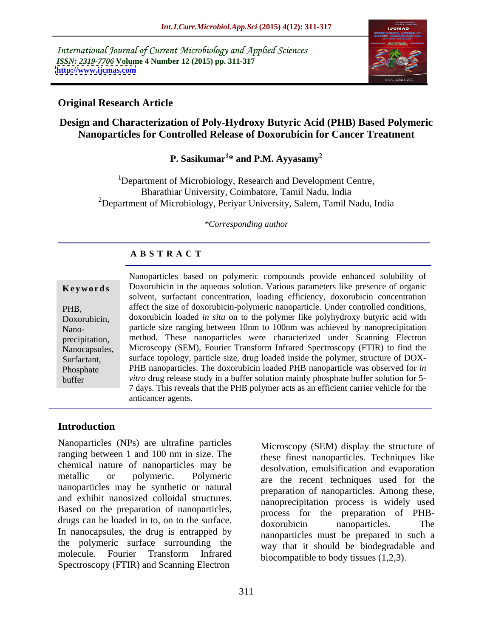International Journal of Current Microbiology and Applied Sciences *ISSN: 2319-7706* **Volume 4 Number 12 (2015) pp. 311-317 <http://www.ijcmas.com>**



## **Original Research Article**

# **Design and Characterization of Poly-Hydroxy Butyric Acid (PHB) Based Polymeric Nanoparticles for Controlled Release of Doxorubicin for Cancer Treatment**

# **P. Sasikumar<sup>1</sup> \* and P.M. Ayyasamy<sup>2</sup>**

<sup>1</sup>Department of Microbiology, Research and Development Centre, Bharathiar University, Coimbatore, Tamil Nadu, India <sup>2</sup>Department of Microbiology, Periyar University, Salem, Tamil Nadu, India

*\*Corresponding author*

### **A B S T R A C T**

buffer

Nanoparticles based on polymeric compounds provide enhanced solubility of Doxorubicin in the aqueous solution. Various parameters like presence of organic **Ke ywo rds** solvent, surfactant concentration, loading efficiency, doxorubicin concentration affect the size of doxorubicin-polymeric nanoparticle. Under controlled conditions, PHB, Doxorubicin, doxorubicin loaded *in situ* on to the polymer like polyhydroxy butyric acid with particle size ranging between 10nm to 100nm was achieved by nanoprecipitation Nano method. These nanoparticles were characterized under Scanning Electron precipitation, Nanocapsules, Microscopy (SEM), Fourier Transform Infrared Spectroscopy (FTIR) to find the Surfactant, surface topology, particle size, drug loaded inside the polymer, structure of DOX-Phosphate PHB nanoparticles. The doxorubicin loaded PHB nanoparticle was observed for *in vitro* drug release study in a buffer solution mainly phosphate buffer solution for 5- 7 days. This reveals that the PHB polymer acts as an efficient carrier vehicle for the anticancer agents.

## **Introduction**

Nanoparticles (NPs) are ultrafine particles ranging between 1 and 100 nm in size. The chemical nature of nanoparticles may be nanoparticles may be synthetic or natural and exhibit nanosized colloidal structures. Based on the preparation of nanoparticles, drugs can be loaded in to, on to the surface.  $\frac{1}{1}$  doxorubicin annoparticles. The In nanocapsules, the drug is entrapped by the polymeric surface surrounding the molecule. Fourier Transform Infrared Spectroscopy (FTIR) and Scanning Electron

metallic or polymeric. Polymeric are the recent techniques used for the Microscopy (SEM) display the structure of these finest nanoparticles. Techniques like desolvation, emulsification and evaporation preparation of nanoparticles. Among these, nanoprecipitation process is widely used process for the preparation of PHB doxorubicin nanoparticles. The nanoparticles must be prepared in such a way that it should be biodegradable and biocompatible to body tissues (1,2,3).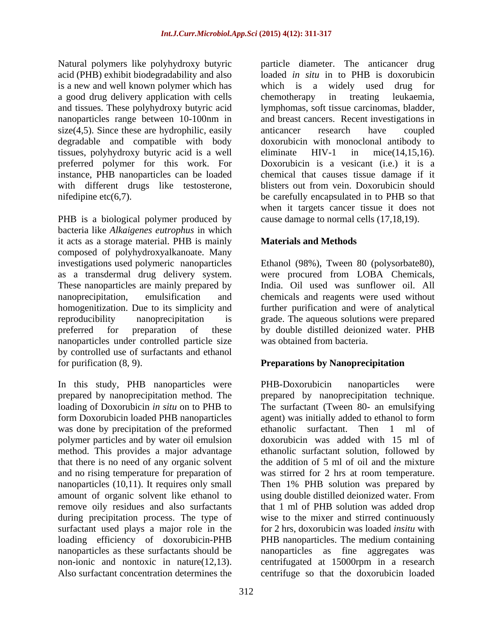acid (PHB) exhibit biodegradability and also is a new and well known polymer which has which is a widely used drug for a good drug delivery application with cells<br>and tissues. These polyhydroxy butyric acid<br>lymphomas, soft tissue carcinomas, bladder, size(4,5). Since these are hydrophilic, easily anticancer research have coupled tissues, polyhydroxy butyric acid is a well preferred polymer for this work. For Doxorubicin is a vesicant (i.e.) it is a with different drugs like testosterone,

bacteria like *Alkaigenes eutrophus* in which it acts as a storage material. PHB is mainly **Materials and Methods** composed of polyhydroxyalkanoate. Many investigations used polymeric nanoparticles as a transdermal drug delivery system. were procured from LOBA Chemicals, These nanoparticles are mainly prepared by nanoprecipitation, emulsification and chemicals and reagents were used without homogenitization. Due to its simplicity and further purification and were of analytical reproducibility nanoprecipitation is grade. The aqueous solutions were prepared preferred for preparation of these by double distilled deionized water. PHB nanoparticles under controlled particle size by controlled use of surfactants and ethanol

prepared by nanoprecipitation method. The loading of Doxorubicin *in situ* on to PHB to form Doxorubicin loaded PHB nanoparticles was done by precipitation of the preformed ethanolic surfactant. Then 1 ml of polymer particles and by water oil emulsion method. This provides a major advantage that there is no need of any organic solvent during precipitation process. The type of surfactant used plays a major role in the non-ionic and nontoxic in nature(12,13). centrifugated at 15000rpm in a research<br>Also surfactant concentration determines the centrifuge so that the doxorubicin loaded

Natural polymers like polyhydroxy butyric particle diameter. The anticancer drug and tissues. These polyhydroxy butyric acid lymphomas, soft tissue carcinomas, bladder, nanoparticles range between 10-100nm in and breast cancers. Recent investigations in degradable and compatible with body doxorubicin with monoclonal antibody to instance, PHB nanoparticles can be loaded chemical that causes tissue damage if it nifedipine etc(6,7).<br>
when it targets cancer tissue it does not<br>
PHB is a biological polymer produced by cause damage to normal cells (17,18,19). loaded *in situ* in to PHB is doxorubicin which is a widely used drug for chemotherapy in treating leukaemia, anticancer research have coupled eliminate HIV-1 in mice(14,15,16).<br>Doxorubicin is a vesicant (i.e.) it is a blisters out from vein. Doxorubicin should be carefully encapsulated in to PHB so that when it targets cancer tissue it does not cause damage to normal cells (17,18,19).

## **Materials and Methods**

Ethanol (98%), Tween 80 (polysorbate80), India. Oil used was sunflower oil. All was obtained from bacteria.

## **Preparations by Nanoprecipitation**

for purification (8, 9).<br>In this study, PHB nanoparticles were PHB-Doxorubicin nanoparticles were and no rising temperature for preparation of was stirred for 2 hrs at room temperature. nanoparticles (10,11). It requires only small Then 1% PHB solution was prepared by amount of organic solvent like ethanol to using double distilled deionized water. From remove oily residues and also surfactants that 1 ml of PHB solution was added drop loading efficiency of doxorubicin-PHB PHB nanoparticles. The medium containing nanoparticles as these surfactants should be nanoparticles as fine aggregates was PHB-Doxorubicin nanoparticles were prepared by nanoprecipitation technique. The surfactant (Tween 80- an emulsifying agent) was initially added to ethanol to form ethanolic surfactant. Then 1 ml of doxorubicin was added with 15 ml of ethanolic surfactant solution, followed by the addition of 5 ml of oil and the mixture wise to the mixer and stirred continuously for 2 hrs, doxorubicin was loaded *insitu* with centrifugated at 15000rpm in a research centrifuge so that the doxorubicin loaded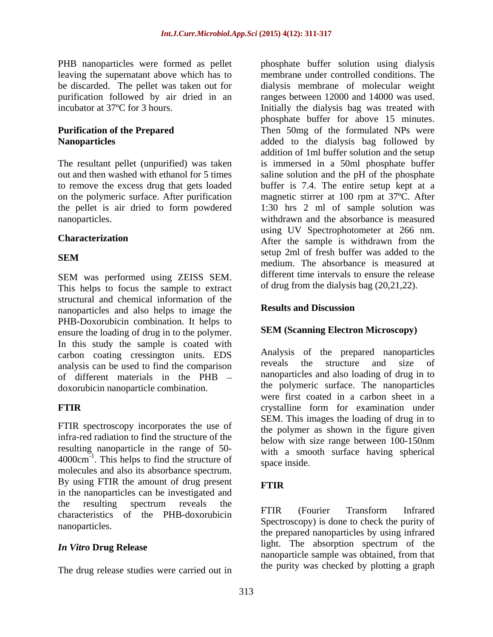leaving the supernatant above which has to<br>be discarded. The pellet was taken out for

SEM was performed using ZEISS SEM. This helps to focus the sample to extract structural and chemical information of the<br>nononerticles and else below to image the **Results and Discussion** nanoparticles and also helps to image the PHB-Doxorubicin combination. It helps to ensure the loading of drug in to the polymer. In this study the sample is coated with carbon coating cressington units. EDS Analysis of the prepared nanoparticles<br>analysis can be used to find the comparison reveals the structure and size of analysis can be used to find the comparison of different materials in the PHB doxorubicin nanoparticle combination.

FTIR spectroscopy incorporates the use of infra-red radiation to find the structure of the 4000 cm. This helps to find the structure of space inside.<br>molecules and also its absorbance spectrum. By using FTIR the amount of drug present FTIR in the nanoparticles can be investigated and the resulting spectrum reveals the  $\overline{r}$   $\overline{r}$   $\overline{r}$   $\overline{r}$   $\overline{r}$   $\overline{r}$   $\overline{r}$   $\overline{r}$   $\overline{r}$   $\overline{r}$   $\overline{r}$   $\overline{r}$   $\overline{r}$   $\overline{r}$   $\overline{r}$   $\overline{r}$   $\overline{r}$   $\overline{r}$   $\overline{r}$   $\overline{r}$   $\overline{r}$ characteristics of the PHB-doxorubicin FTIR (Fourier Transform Infrared

The drug release studies were carried out in

PHB nanoparticles were formed as pellet bnosphate buffer solution using dialysis be discarded. The pellet was taken out for dialysis membrane of molecular weight purification followed by air dried in an ranges between 12000 and 14000 was used. incubator at 37ºC for 3 hours. Initially the dialysis bag was treated with **Purification of the Prepared** Then 50mg of the formulated NPs were **Nanoparticles** added to the dialysis bag followed by The resultant pellet (unpurified) was taken is immersed in a 50ml phosphate buffer out and then washed with ethanol for 5 times saline solution and the pH of the phosphate to remove the excess drug that gets loaded buffer is 7.4. The entire setup kept at a on the polymeric surface. After purification magnetic stirrer at 100 rpm at 37ºC. After the pellet is air dried to form powdered 1:30 hrs 2 ml of sample solution was nanoparticles. withdrawn and the absorbance is measured **Characterization** After the sample is withdrawn from the **SEM** modify The experience is measured at membrane under controlled conditions. The phosphate buffer for above 15 minutes. addition of 1ml buffer solution and the setup using UV Spectrophotometer at 266 nm. setup 2ml of fresh buffer was added to the medium. The absorbance is measured at different time intervals to ensure the release of drug from the dialysis bag (20,21,22).

### **Results and Discussion**

### **SEM (Scanning Electron Microscopy)**

**FTIR** crystalline form for examination under resulting nanoparticle in the range of 50-<br>with a smooth surface having spherical  $4000 \text{cm}^{-1}$ . This helps to find the structure of  $\frac{\text{wnd}}{\text{space inside}}$ Analysis of the prepared nanoparticles reveals the structure and size of nanoparticles and also loading of drug in to the polymeric surface. The nanoparticles were first coated in a carbon sheet in a SEM. This images the loading of drug in to the polymer as shown in the figure given below with size range between 100-150nm space inside.

## **FTIR**

nanoparticles. *In Vitro* **Drug Release** light. The absorption spectrum of the FTIR (Fourier Transform Infrared Spectroscopy) is done to check the purity of the prepared nanoparticles by using infrared nanoparticle sample was obtained, from that the purity was checked by plotting a graph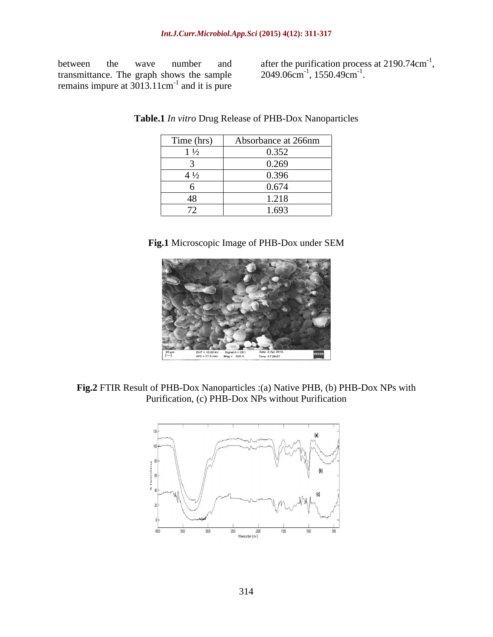transmittance. The graph shows the sample  $2049.06 \text{cm}^{-1}$ ,  $1550.49 \text{cm}^{-1}$ . remains impure at  $3013.11 \text{cm}^{-1}$  and it is pure

between the wave number and after the purification process at 2190.74cm<sup>-1</sup>, after the purification process at  $2190.74 \text{cm}^{-1}$ ,<br>2049.06cm<sup>-1</sup>, 1550.49cm<sup>-1</sup>.  $, 1550.49cm^{-1}.$ . We are also assumed to the contract of

|                          | Time (hrs) Absorbance at 266nm |
|--------------------------|--------------------------------|
| $1\frac{1}{2}$           | 0.352                          |
|                          | 0.269                          |
| $4\frac{1}{2}$           | 0.396                          |
|                          | 0.674                          |
| $\overline{1}$<br>40     | 1.218                          |
| $\overline{\phantom{a}}$ | 1.693                          |

**Table.1** *In vitro* Drug Release of PHB-Dox Nanoparticles

**Fig.1** Microscopic Image of PHB-Dox under SEM



**Fig.2** FTIR Result of PHB-Dox Nanoparticles :(a) Native PHB, (b) PHB-Dox NPs with Purification, (c) PHB-Dox NPs without Purification

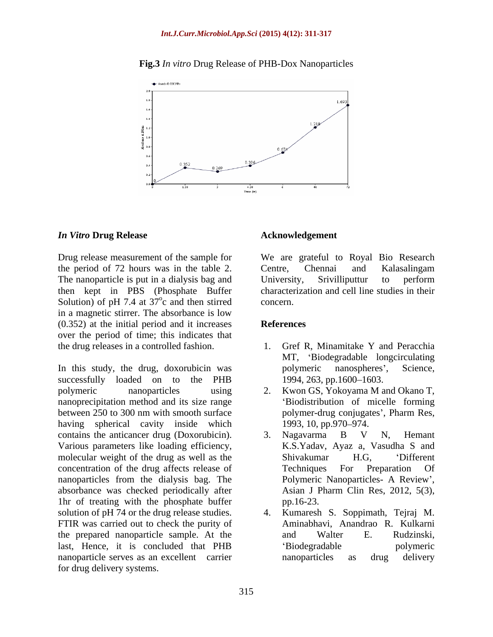### **Fig.3** *In vitro* Drug Release of PHB-Dox Nanoparticles



### *In Vitro* **Drug Release**

the period of 72 hours was in the table 2. The nanoparticle is put in a dialysis bag and University, Srivilliputtur to perform then kept in PBS (Phosphate Buffer Solution) of pH 7.4 at  $37^{\circ}$ c and then stirred concern. in a magnetic stirrer. The absorbance is low (0.352) at the initial period and it increases over the period of time; this indicates that the drug releases in a controlled fashion. 1. Gref R, Minamitake Y and Peracchia

successfully loaded on to the PHB polymeric nanoparticles using 2. Kwon GS, Yokoyama M and Okano T, nanoprecipitation method and its size range between 250 to 300 nm with smooth surface polymer-drug conjugates', Pharm Res, having spherical cavity inside which 1993, 10, pp.970–974. contains the anticancer drug (Doxorubicin). 3. Nagavarma B V N, Hemant Various parameters like loading efficiency, molecular weight of the drug as well as the Shivakumar H.G, 'Different concentration of the drug affects release of Techniques For Preparation Of nanoparticles from the dialysis bag. The Polymeric Nanoparticles- A Review', absorbance was checked periodically after 1hr of treating with the phosphate buffer pp.16-23. solution of pH 74 or the drug release studies. 4. FTIR was carried out to check the purity of the prepared nanoparticle sample. At the last, Hence, it is concluded that PHB nanoparticle serves as an excellent carrier hanoparticles as drug delivery for drug delivery systems.

### **Acknowledgement**

Drug release measurement of the sample for We are grateful to Royal Bio Research  $\alpha$  and then stirred concern c and then stirred concern. Centre, Chennai and Kalasalingam University, Srivilliputtur to perform characterization and cell line studies in their concern.

### **References**

- In this study, the drug, doxorubicin was polymeric nanospheres', Science, 1. Gref R, Minamitake Y and Peracchia MT, Biodegradable longcirculating polymeric nanospheres', Science, 1994, 263, pp.1600–1603.
	- Biodistribution of micelle forming polymer-drug conjugates', Pharm Res, 1993, 10, pp.970–974.
	- 3. Nagavarma B V N, Hemant K.S.Yadav, Ayaz a, Vasudha S and Shivakumar H.G, Different Techniques For Preparation Of Polymeric Nanoparticles- A Review', Asian J Pharm Clin Res, 2012, 5(3), pp.16-23.
	- 4. Kumaresh S. Soppimath, Tejraj M. Aminabhavi, Anandrao R. Kulkarni and Walter E. Rudzinski, Biodegradable polymeric nanoparticles as drug delivery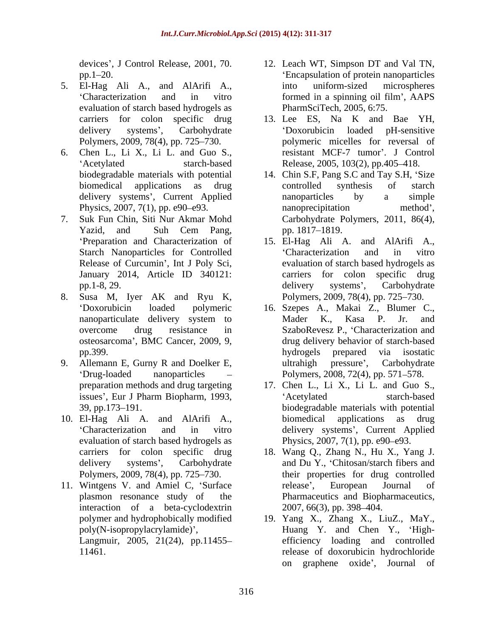- 5. El-Hag Ali A., and AlArifi A., evaluation of starch based hydrogels as
- 6. Chen L., Li X., Li L. and Guo S.,
- Release of Curcumin', Int J Poly Sci,
- 8. Susa M, Iyer AK and Ryu K,
- 9. Allemann E, Gurny R and Doelker E, <br>ultrahigh pressure', Carbohydrate
- evaluation of starch based hydrogels as Polymers, 2009, 78(4), pp. 725–730.
- 11. Wintgens V. and Amiel C, 'Surface release', European Journal of interaction of a beta-cyclodextrin 2007, 66(3), pp. 398–404.
- devices , J Control Release, 2001, 70. 12. Leach WT, Simpson DT and Val TN, pp.1 20. Encapsulation of protein nanoparticles Characterization and in vitro into uniform-sized microspheres formed in a spinning oil film', AAPS PharmSciTech, 2005, 6:75.
- carriers for colon specific drug 13. Lee ES, Na K and Bae YH, delivery systems , Carbohydrate Doxorubicin loaded pH-sensitive Polymers, 2009, 78(4), pp. 725–730. polymeric micelles for reversal of Acetylated starch-based Release, 2005, 103(2), pp.405–418. resistant MCF-7 tumor'. J Control
- biodegradable materials with potential 14. Chin S.F, Pang S.C and Tay S.H, 'Size biomedical applications as drug delivery systems', Current Applied a nanoparticles by a simple Physics, 2007, 7(1), pp. e90–e93. hanoprecipitation method', 7. Suk Fun Chin, Siti Nur Akmar Mohd Carbohydrate Polymers, 2011, 86(4), Yazid, and Suh Cem Pang, pp. 1817–1819. controlled synthesis of starch nanoparticles by a simple nanoprecipitation method', pp. 1817–1819.
	- 'Preparation and Characterization of 15. El-Hag Ali A. and AlArifi A., Starch Nanoparticles for Controlled Characterization and in vitro January 2014, Article ID 340121: carriers for colon specific drug pp.1-8, 29. 15. El-Hag Ali A. and AlArifi A., Characterization and in vitro evaluation of starch based hydrogels as delivery systems', Carbohydrate Polymers, 2009, 78(4), pp. 725–730.
	- Doxorubicin loaded polymeric 16. Szepes A., Makai Z., Blumer C., nanoparticulate delivery system to Mader K., Kasa P. Jr. and overcome drug resistance in SzaboRevesz P., Characterization and osteosarcoma , BMC Cancer, 2009, 9, drug delivery behavior of starch-based pp.399. bydrogels prepared via isostatic Drug-loaded nanoparticles – Polymers, 2008, 72(4), pp. 571–578. Mader K., Kasa P. Jr. and hydrogels prepared via isostatic ultrahigh pressure', Carbohydrate
- preparation methods and drug targeting 17. Chen L., Li X., Li L. and Guo S., issues', Eur J Pharm Biopharm, 1993, <br>
'Acetylated starch-based 39, pp.173 191. biodegradable materials with potential 10. El-Hag Ali A. and AlArifi A., Characterization and in vitro delivery systems', Current Applied Acetylated starch-based biomedical applications as drug Physics,  $2007, 7(1)$ , pp. e90–e93.
	- carriers for colon specific drug 18. Wang Q., Zhang N., Hu X., Yang J. delivery systems', Carbohydrate and Du Y., 'Chitosan/starch fibers and plasmon resonance study of the Pharmaceutics and Biopharmaceutics, their properties for drug controlled release', European Journal of 2007, 66(3), pp. 398–404.
	- polymer and hydrophobically modified 19. Yang X., Zhang X., LiuZ., MaY., poly(N-isopropylacrylamide)', Huang Y. and Chen Y., 'High-Langmuir, 2005, 21(24), pp.11455 efficiency loading and controlled 11461. release of doxorubicin hydrochloride on graphene oxide', Journal of